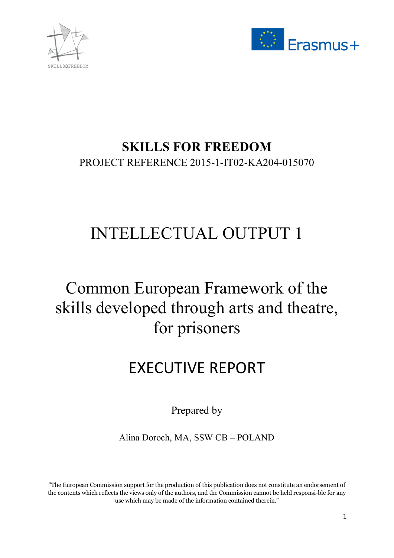



# **SKILLS FOR FREEDOM**  PROJECT REFERENCE 2015-1-IT02-KA204-015070

# INTELLECTUAL OUTPUT 1

# Common European Framework of the skills developed through arts and theatre, for prisoners

# EXECUTIVE REPORT

Prepared by

Alina Doroch, MA, SSW CB – POLAND

"The European Commission support for the production of this publication does not constitute an endorsement of the contents which reflects the views only of the authors, and the Commission cannot be held responsible for any use which may be made of the information contained therein."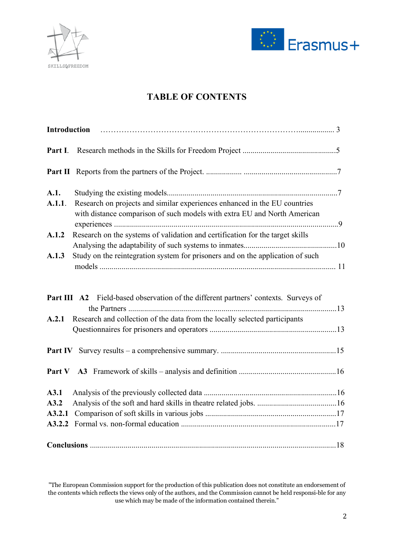



# **TABLE OF CONTENTS**

| Introduction |                                                                                                                                                                   |  |
|--------------|-------------------------------------------------------------------------------------------------------------------------------------------------------------------|--|
| Part I.      |                                                                                                                                                                   |  |
|              |                                                                                                                                                                   |  |
| A.1.         |                                                                                                                                                                   |  |
| A.1.1.       | Research on projects and similar experiences enhanced in the EU countries<br>with distance comparison of such models with extra EU and North American             |  |
| A.1.2        | Research on the systems of validation and certification for the target skills                                                                                     |  |
|              |                                                                                                                                                                   |  |
| A.1.3        | Study on the reintegration system for prisoners and on the application of such                                                                                    |  |
| A.2.1        | Part III A2 Field-based observation of the different partners' contexts. Surveys of<br>Research and collection of the data from the locally selected participants |  |
|              |                                                                                                                                                                   |  |
|              |                                                                                                                                                                   |  |
| A3.1         |                                                                                                                                                                   |  |
| A3.2         |                                                                                                                                                                   |  |
| A3.2.1       |                                                                                                                                                                   |  |
|              |                                                                                                                                                                   |  |
|              |                                                                                                                                                                   |  |

<sup>&</sup>quot;The European Commission support for the production of this publication does not constitute an endorsement of the contents which reflects the views only of the authors, and the Commission cannot be held responsi-ble for any use which may be made of the information contained therein."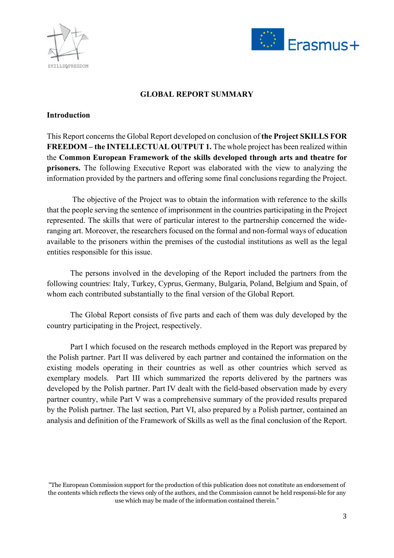



#### **GLOBAL REPORT SUMMARY**

#### **Introduction**

This Report concerns the Global Report developed on conclusion of **the Project SKILLS FOR FREEDOM – the INTELLECTUAL OUTPUT 1.** The whole project has been realized within the **Common European Framework of the skills developed through arts and theatre for prisoners.** The following Executive Report was elaborated with the view to analyzing the information provided by the partners and offering some final conclusions regarding the Project.

The objective of the Project was to obtain the information with reference to the skills that the people serving the sentence of imprisonment in the countries participating in the Project represented. The skills that were of particular interest to the partnership concerned the wideranging art. Moreover, the researchers focused on the formal and non-formal ways of education available to the prisoners within the premises of the custodial institutions as well as the legal entities responsible for this issue.

The persons involved in the developing of the Report included the partners from the following countries: Italy, Turkey, Cyprus, Germany, Bulgaria, Poland, Belgium and Spain, of whom each contributed substantially to the final version of the Global Report.

The Global Report consists of five parts and each of them was duly developed by the country participating in the Project, respectively.

Part I which focused on the research methods employed in the Report was prepared by the Polish partner. Part II was delivered by each partner and contained the information on the existing models operating in their countries as well as other countries which served as exemplary models. Part III which summarized the reports delivered by the partners was developed by the Polish partner. Part IV dealt with the field-based observation made by every partner country, while Part V was a comprehensive summary of the provided results prepared by the Polish partner. The last section, Part VI, also prepared by a Polish partner, contained an analysis and definition of the Framework of Skills as well as the final conclusion of the Report.

<sup>&</sup>quot;The European Commission support for the production of this publication does not constitute an endorsement of the contents which reflects the views only of the authors, and the Commission cannot be held responsi-ble for any use which may be made of the information contained therein."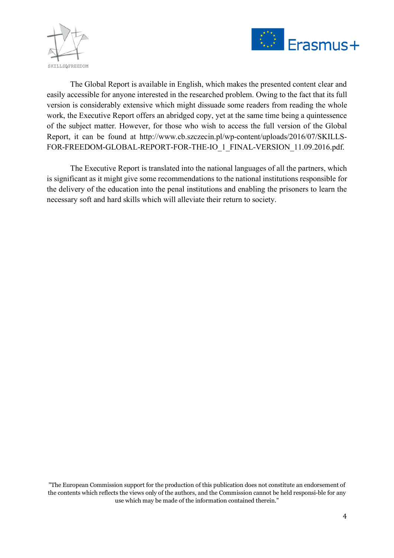



The Global Report is available in English, which makes the presented content clear and easily accessible for anyone interested in the researched problem. Owing to the fact that its full version is considerably extensive which might dissuade some readers from reading the whole work, the Executive Report offers an abridged copy, yet at the same time being a quintessence of the subject matter. However, for those who wish to access the full version of the Global Report, it can be found at http://www.cb.szczecin.pl/wp-content/uploads/2016/07/SKILLS-FOR-FREEDOM-GLOBAL-REPORT-FOR-THE-IO\_1\_FINAL-VERSION\_11.09.2016.pdf.

The Executive Report is translated into the national languages of all the partners, which is significant as it might give some recommendations to the national institutions responsible for the delivery of the education into the penal institutions and enabling the prisoners to learn the necessary soft and hard skills which will alleviate their return to society.

"The European Commission support for the production of this publication does not constitute an endorsement of the contents which reflects the views only of the authors, and the Commission cannot be held responsible for any use which may be made of the information contained therein."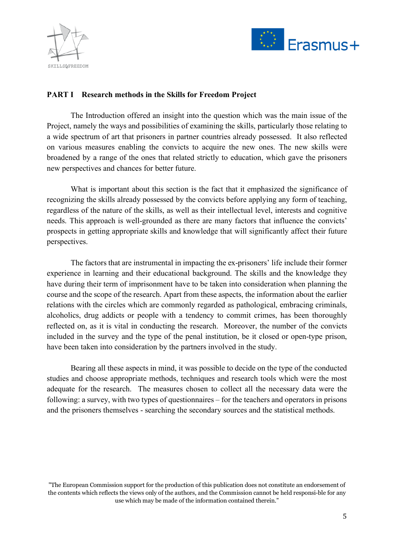



#### **PART I Research methods in the Skills for Freedom Project**

The Introduction offered an insight into the question which was the main issue of the Project, namely the ways and possibilities of examining the skills, particularly those relating to a wide spectrum of art that prisoners in partner countries already possessed. It also reflected on various measures enabling the convicts to acquire the new ones. The new skills were broadened by a range of the ones that related strictly to education, which gave the prisoners new perspectives and chances for better future.

What is important about this section is the fact that it emphasized the significance of recognizing the skills already possessed by the convicts before applying any form of teaching, regardless of the nature of the skills, as well as their intellectual level, interests and cognitive needs. This approach is well-grounded as there are many factors that influence the convicts' prospects in getting appropriate skills and knowledge that will significantly affect their future perspectives.

The factors that are instrumental in impacting the ex-prisoners' life include their former experience in learning and their educational background. The skills and the knowledge they have during their term of imprisonment have to be taken into consideration when planning the course and the scope of the research. Apart from these aspects, the information about the earlier relations with the circles which are commonly regarded as pathological, embracing criminals, alcoholics, drug addicts or people with a tendency to commit crimes, has been thoroughly reflected on, as it is vital in conducting the research. Moreover, the number of the convicts included in the survey and the type of the penal institution, be it closed or open-type prison, have been taken into consideration by the partners involved in the study.

Bearing all these aspects in mind, it was possible to decide on the type of the conducted studies and choose appropriate methods, techniques and research tools which were the most adequate for the research. The measures chosen to collect all the necessary data were the following: a survey, with two types of questionnaires – for the teachers and operators in prisons and the prisoners themselves - searching the secondary sources and the statistical methods.

<sup>&</sup>quot;The European Commission support for the production of this publication does not constitute an endorsement of the contents which reflects the views only of the authors, and the Commission cannot be held responsi-ble for any use which may be made of the information contained therein."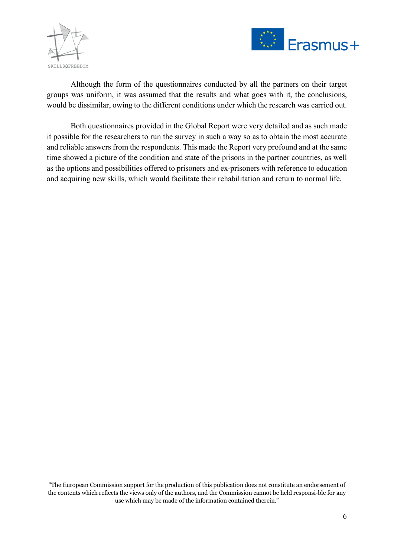



Although the form of the questionnaires conducted by all the partners on their target groups was uniform, it was assumed that the results and what goes with it, the conclusions, would be dissimilar, owing to the different conditions under which the research was carried out.

Both questionnaires provided in the Global Report were very detailed and as such made it possible for the researchers to run the survey in such a way so as to obtain the most accurate and reliable answers from the respondents. This made the Report very profound and at the same time showed a picture of the condition and state of the prisons in the partner countries, as well as the options and possibilities offered to prisoners and ex-prisoners with reference to education and acquiring new skills, which would facilitate their rehabilitation and return to normal life.

"The European Commission support for the production of this publication does not constitute an endorsement of the contents which reflects the views only of the authors, and the Commission cannot be held responsible for any use which may be made of the information contained therein."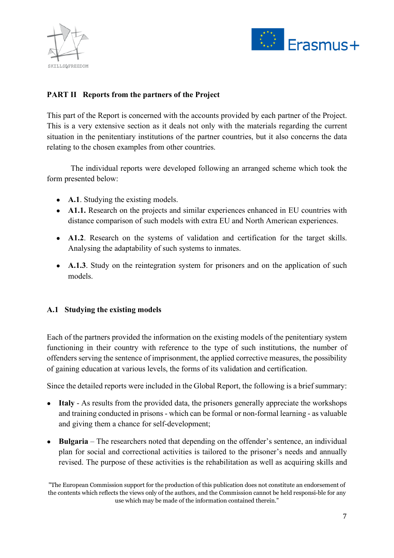



# **PART II Reports from the partners of the Project**

This part of the Report is concerned with the accounts provided by each partner of the Project. This is a very extensive section as it deals not only with the materials regarding the current situation in the penitentiary institutions of the partner countries, but it also concerns the data relating to the chosen examples from other countries.

The individual reports were developed following an arranged scheme which took the form presented below:

- **A.1**. Studying the existing models.
- **A1.1.** Research on the projects and similar experiences enhanced in EU countries with distance comparison of such models with extra EU and North American experiences.
- **A1.2**. Research on the systems of validation and certification for the target skills. Analysing the adaptability of such systems to inmates.
- **A.1.3**. Study on the reintegration system for prisoners and on the application of such models.

#### **A.1 Studying the existing models**

Each of the partners provided the information on the existing models of the penitentiary system functioning in their country with reference to the type of such institutions, the number of offenders serving the sentence of imprisonment, the applied corrective measures, the possibility of gaining education at various levels, the forms of its validation and certification.

Since the detailed reports were included in the Global Report, the following is a brief summary:

- **Italy** As results from the provided data, the prisoners generally appreciate the workshops and training conducted in prisons - which can be formal or non-formal learning - as valuable and giving them a chance for self-development;
- **Bulgaria**  The researchers noted that depending on the offender's sentence, an individual plan for social and correctional activities is tailored to the prisoner's needs and annually revised. The purpose of these activities is the rehabilitation as well as acquiring skills and

<sup>&</sup>quot;The European Commission support for the production of this publication does not constitute an endorsement of the contents which reflects the views only of the authors, and the Commission cannot be held responsi-ble for any use which may be made of the information contained therein."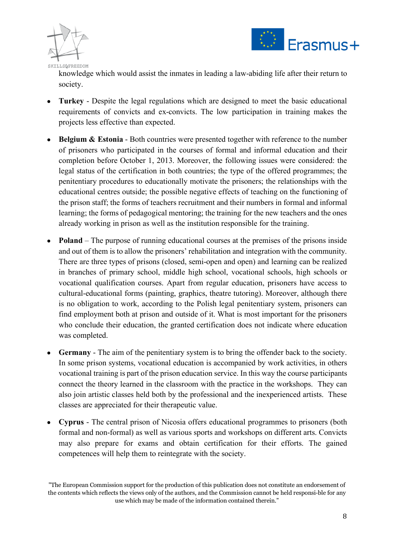



knowledge which would assist the inmates in leading a law-abiding life after their return to society.

- **Turkey**  Despite the legal regulations which are designed to meet the basic educational requirements of convicts and ex-convicts. The low participation in training makes the projects less effective than expected.
- **Belgium & Estonia Both countries were presented together with reference to the number** of prisoners who participated in the courses of formal and informal education and their completion before October 1, 2013. Moreover, the following issues were considered: the legal status of the certification in both countries; the type of the offered programmes; the penitentiary procedures to educationally motivate the prisoners; the relationships with the educational centres outside; the possible negative effects of teaching on the functioning of the prison staff; the forms of teachers recruitment and their numbers in formal and informal learning; the forms of pedagogical mentoring; the training for the new teachers and the ones already working in prison as well as the institution responsible for the training.
- **Poland** The purpose of running educational courses at the premises of the prisons inside and out of them is to allow the prisoners' rehabilitation and integration with the community. There are three types of prisons (closed, semi-open and open) and learning can be realized in branches of primary school, middle high school, vocational schools, high schools or vocational qualification courses. Apart from regular education, prisoners have access to cultural-educational forms (painting, graphics, theatre tutoring). Moreover, although there is no obligation to work, according to the Polish legal penitentiary system, prisoners can find employment both at prison and outside of it. What is most important for the prisoners who conclude their education, the granted certification does not indicate where education was completed.
- **Germany** The aim of the penitentiary system is to bring the offender back to the society. In some prison systems, vocational education is accompanied by work activities, in others vocational training is part of the prison education service. In this way the course participants connect the theory learned in the classroom with the practice in the workshops. They can also join artistic classes held both by the professional and the inexperienced artists. These classes are appreciated for their therapeutic value.
- **Cyprus**  The central prison of Nicosia offers educational programmes to prisoners (both formal and non-formal) as well as various sports and workshops on different arts. Convicts may also prepare for exams and obtain certification for their efforts. The gained competences will help them to reintegrate with the society.

<sup>&</sup>quot;The European Commission support for the production of this publication does not constitute an endorsement of the contents which reflects the views only of the authors, and the Commission cannot be held responsi-ble for any use which may be made of the information contained therein."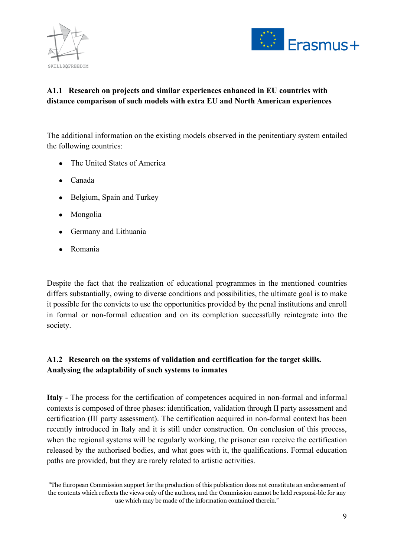



# **A1.1 Research on projects and similar experiences enhanced in EU countries with distance comparison of such models with extra EU and North American experiences**

The additional information on the existing models observed in the penitentiary system entailed the following countries:

- The United States of America
- Canada
- Belgium, Spain and Turkey
- Mongolia
- Germany and Lithuania
- Romania

Despite the fact that the realization of educational programmes in the mentioned countries differs substantially, owing to diverse conditions and possibilities, the ultimate goal is to make it possible for the convicts to use the opportunities provided by the penal institutions and enroll in formal or non-formal education and on its completion successfully reintegrate into the society.

### **A1.2 Research on the systems of validation and certification for the target skills. Analysing the adaptability of such systems to inmates**

**Italy -** The process for the certification of competences acquired in non-formal and informal contexts is composed of three phases: identification, validation through II party assessment and certification (III party assessment). The certification acquired in non-formal context has been recently introduced in Italy and it is still under construction. On conclusion of this process, when the regional systems will be regularly working, the prisoner can receive the certification released by the authorised bodies, and what goes with it, the qualifications. Formal education paths are provided, but they are rarely related to artistic activities.

<sup>&</sup>quot;The European Commission support for the production of this publication does not constitute an endorsement of the contents which reflects the views only of the authors, and the Commission cannot be held responsi-ble for any use which may be made of the information contained therein."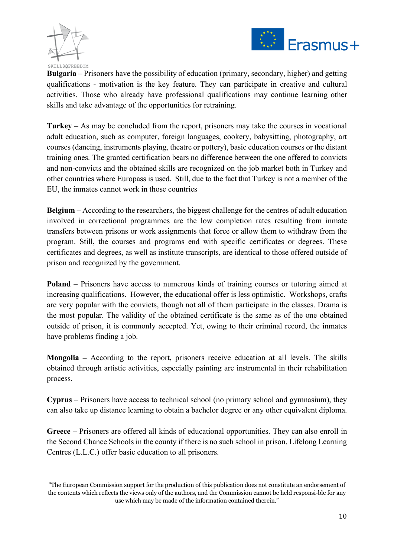



**Bulgaria** – Prisoners have the possibility of education (primary, secondary, higher) and getting qualifications - motivation is the key feature. They can participate in creative and cultural activities. Those who already have professional qualifications may continue learning other skills and take advantage of the opportunities for retraining.

**Turkey –** As may be concluded from the report, prisoners may take the courses in vocational adult education, such as computer, foreign languages, cookery, babysitting, photography, art courses (dancing, instruments playing, theatre or pottery), basic education courses or the distant training ones. The granted certification bears no difference between the one offered to convicts and non-convicts and the obtained skills are recognized on the job market both in Turkey and other countries where Europass is used. Still, due to the fact that Turkey is not a member of the EU, the inmates cannot work in those countries

**Belgium –** According to the researchers, the biggest challenge for the centres of adult education involved in correctional programmes are the low completion rates resulting from inmate transfers between prisons or work assignments that force or allow them to withdraw from the program. Still, the courses and programs end with specific certificates or degrees. These certificates and degrees, as well as institute transcripts, are identical to those offered outside of prison and recognized by the government.

**Poland –** Prisoners have access to numerous kinds of training courses or tutoring aimed at increasing qualifications. However, the educational offer is less optimistic. Workshops, crafts are very popular with the convicts, though not all of them participate in the classes. Drama is the most popular. The validity of the obtained certificate is the same as of the one obtained outside of prison, it is commonly accepted. Yet, owing to their criminal record, the inmates have problems finding a job.

**Mongolia –** According to the report, prisoners receive education at all levels. The skills obtained through artistic activities, especially painting are instrumental in their rehabilitation process.

**Cyprus** – Prisoners have access to technical school (no primary school and gymnasium), they can also take up distance learning to obtain a bachelor degree or any other equivalent diploma.

**Greece** – Prisoners are offered all kinds of educational opportunities. They can also enroll in the Second Chance Schools in the county if there is no such school in prison. Lifelong Learning Centres (L.L.C.) offer basic education to all prisoners.

<sup>&</sup>quot;The European Commission support for the production of this publication does not constitute an endorsement of the contents which reflects the views only of the authors, and the Commission cannot be held responsi-ble for any use which may be made of the information contained therein."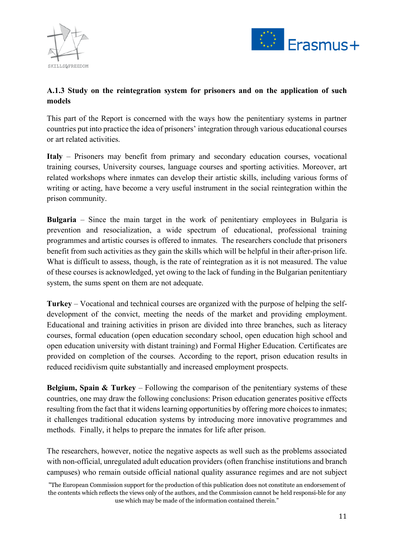



### **A.1.3 Study on the reintegration system for prisoners and on the application of such models**

This part of the Report is concerned with the ways how the penitentiary systems in partner countries put into practice the idea of prisoners' integration through various educational courses or art related activities.

**Italy** – Prisoners may benefit from primary and secondary education courses, vocational training courses, University courses, language courses and sporting activities. Moreover, art related workshops where inmates can develop their artistic skills, including various forms of writing or acting, have become a very useful instrument in the social reintegration within the prison community.

**Bulgaria** – Since the main target in the work of penitentiary employees in Bulgaria is prevention and resocialization, a wide spectrum of educational, professional training programmes and artistic courses is offered to inmates. The researchers conclude that prisoners benefit from such activities as they gain the skills which will be helpful in their after-prison life. What is difficult to assess, though, is the rate of reintegration as it is not measured. The value of these courses is acknowledged, yet owing to the lack of funding in the Bulgarian penitentiary system, the sums spent on them are not adequate.

**Turkey** – Vocational and technical courses are organized with the purpose of helping the selfdevelopment of the convict, meeting the needs of the market and providing employment. Educational and training activities in prison are divided into three branches, such as literacy courses, formal education (open education secondary school, open education high school and open education university with distant training) and Formal Higher Education. Certificates are provided on completion of the courses. According to the report, prison education results in reduced recidivism quite substantially and increased employment prospects.

**Belgium, Spain & Turkey** – Following the comparison of the penitentiary systems of these countries, one may draw the following conclusions: Prison education generates positive effects resulting from the fact that it widens learning opportunities by offering more choices to inmates; it challenges traditional education systems by introducing more innovative programmes and methods. Finally, it helps to prepare the inmates for life after prison.

The researchers, however, notice the negative aspects as well such as the problems associated with non-official, unregulated adult education providers (often franchise institutions and branch campuses) who remain outside official national quality assurance regimes and are not subject

<sup>&</sup>quot;The European Commission support for the production of this publication does not constitute an endorsement of the contents which reflects the views only of the authors, and the Commission cannot be held responsi-ble for any use which may be made of the information contained therein."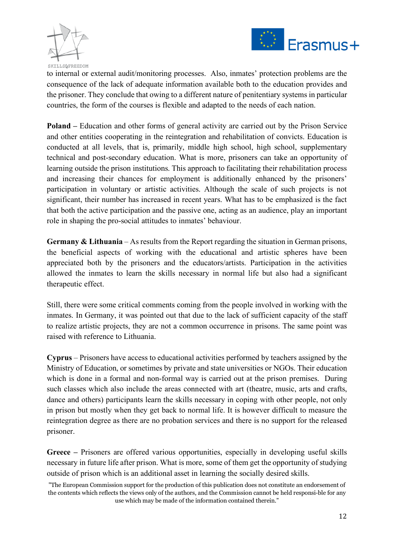



to internal or external audit/monitoring processes. Also, inmates' protection problems are the consequence of the lack of adequate information available both to the education provides and the prisoner. They conclude that owing to a different nature of penitentiary systems in particular countries, the form of the courses is flexible and adapted to the needs of each nation.

**Poland –** Education and other forms of general activity are carried out by the Prison Service and other entities cooperating in the reintegration and rehabilitation of convicts. Education is conducted at all levels, that is, primarily, middle high school, high school, supplementary technical and post-secondary education. What is more, prisoners can take an opportunity of learning outside the prison institutions. This approach to facilitating their rehabilitation process and increasing their chances for employment is additionally enhanced by the prisoners' participation in voluntary or artistic activities. Although the scale of such projects is not significant, their number has increased in recent years. What has to be emphasized is the fact that both the active participation and the passive one, acting as an audience, play an important role in shaping the pro-social attitudes to inmates' behaviour.

**Germany & Lithuania** – As results from the Report regarding the situation in German prisons, the beneficial aspects of working with the educational and artistic spheres have been appreciated both by the prisoners and the educators/artists. Participation in the activities allowed the inmates to learn the skills necessary in normal life but also had a significant therapeutic effect.

Still, there were some critical comments coming from the people involved in working with the inmates. In Germany, it was pointed out that due to the lack of sufficient capacity of the staff to realize artistic projects, they are not a common occurrence in prisons. The same point was raised with reference to Lithuania.

**Cyprus** – Prisoners have access to educational activities performed by teachers assigned by the Ministry of Education, or sometimes by private and state universities or NGOs. Their education which is done in a formal and non-formal way is carried out at the prison premises. During such classes which also include the areas connected with art (theatre, music, arts and crafts, dance and others) participants learn the skills necessary in coping with other people, not only in prison but mostly when they get back to normal life. It is however difficult to measure the reintegration degree as there are no probation services and there is no support for the released prisoner.

**Greece –** Prisoners are offered various opportunities, especially in developing useful skills necessary in future life after prison. What is more, some of them get the opportunity of studying outside of prison which is an additional asset in learning the socially desired skills.

<sup>&</sup>quot;The European Commission support for the production of this publication does not constitute an endorsement of the contents which reflects the views only of the authors, and the Commission cannot be held responsi-ble for any use which may be made of the information contained therein."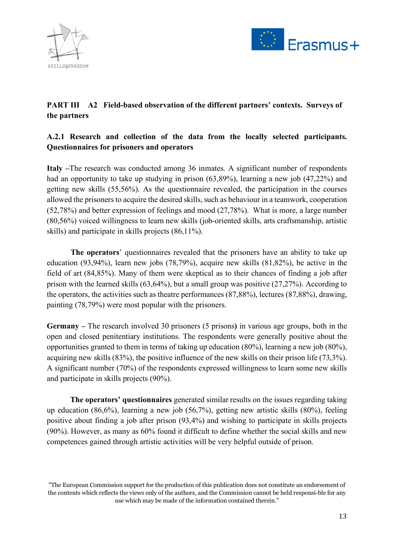



# **PART III A2 Field-based observation of the different partners' contexts. Surveys of the partners**

# **A.2.1 Research and collection of the data from the locally selected participants. Questionnaires for prisoners and operators**

**Italy –**The research was conducted among 36 inmates. A significant number of respondents had an opportunity to take up studying in prison (63,89%), learning a new job (47,22%) and getting new skills (55,56%). As the questionnaire revealed, the participation in the courses allowed the prisoners to acquire the desired skills, such as behaviour in a teamwork, cooperation (52,78%) and better expression of feelings and mood (27,78%). What is more, a large number (80,56%) voiced willingness to learn new skills (job-oriented skills, arts craftsmanship, artistic skills) and participate in skills projects (86,11%).

**The operators**' questionnaires revealed that the prisoners have an ability to take up education (93,94%), learn new jobs (78,79%), acquire new skills (81,82%), be active in the field of art (84,85%). Many of them were skeptical as to their chances of finding a job after prison with the learned skills (63,64%), but a small group was positive (27,27%). According to the operators, the activities such as theatre performances (87,88%), lectures (87,88%), drawing, painting (78,79%) were most popular with the prisoners.

**Germany –** The research involved 30 prisoners (5 prisons**)** in various age groups, both in the open and closed penitentiary institutions. The respondents were generally positive about the opportunities granted to them in terms of taking up education (80%), learning a new job (80%), acquiring new skills (83%), the positive influence of the new skills on their prison life (73,3%). A significant number (70%) of the respondents expressed willingness to learn some new skills and participate in skills projects (90%).

**The operators' questionnaires** generated similar results on the issues regarding taking up education (86,6%), learning a new job (56,7%), getting new artistic skills (80%), feeling positive about finding a job after prison (93,4%) and wishing to participate in skills projects (90%). However, as many as 60% found it difficult to define whether the social skills and new competences gained through artistic activities will be very helpful outside of prison.

<sup>&</sup>quot;The European Commission support for the production of this publication does not constitute an endorsement of the contents which reflects the views only of the authors, and the Commission cannot be held responsi-ble for any use which may be made of the information contained therein."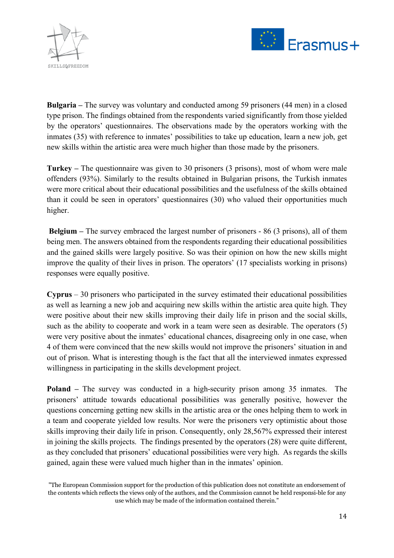



**Bulgaria –** The survey was voluntary and conducted among 59 prisoners (44 men) in a closed type prison. The findings obtained from the respondents varied significantly from those yielded by the operators' questionnaires. The observations made by the operators working with the inmates (35) with reference to inmates' possibilities to take up education, learn a new job, get new skills within the artistic area were much higher than those made by the prisoners.

**Turkey –** The questionnaire was given to 30 prisoners (3 prisons), most of whom were male offenders (93%). Similarly to the results obtained in Bulgarian prisons, the Turkish inmates were more critical about their educational possibilities and the usefulness of the skills obtained than it could be seen in operators' questionnaires (30) who valued their opportunities much higher.

**Belgium –** The survey embraced the largest number of prisoners - 86 (3 prisons), all of them being men. The answers obtained from the respondents regarding their educational possibilities and the gained skills were largely positive. So was their opinion on how the new skills might improve the quality of their lives in prison. The operators' (17 specialists working in prisons) responses were equally positive.

**Cyprus** – 30 prisoners who participated in the survey estimated their educational possibilities as well as learning a new job and acquiring new skills within the artistic area quite high. They were positive about their new skills improving their daily life in prison and the social skills, such as the ability to cooperate and work in a team were seen as desirable. The operators (5) were very positive about the inmates' educational chances, disagreeing only in one case, when 4 of them were convinced that the new skills would not improve the prisoners' situation in and out of prison. What is interesting though is the fact that all the interviewed inmates expressed willingness in participating in the skills development project.

**Poland –** The survey was conducted in a high-security prison among 35 inmates. The prisoners' attitude towards educational possibilities was generally positive, however the questions concerning getting new skills in the artistic area or the ones helping them to work in a team and cooperate yielded low results. Nor were the prisoners very optimistic about those skills improving their daily life in prison. Consequently, only 28,567% expressed their interest in joining the skills projects. The findings presented by the operators (28) were quite different, as they concluded that prisoners' educational possibilities were very high. As regards the skills gained, again these were valued much higher than in the inmates' opinion.

<sup>&</sup>quot;The European Commission support for the production of this publication does not constitute an endorsement of the contents which reflects the views only of the authors, and the Commission cannot be held responsi-ble for any use which may be made of the information contained therein."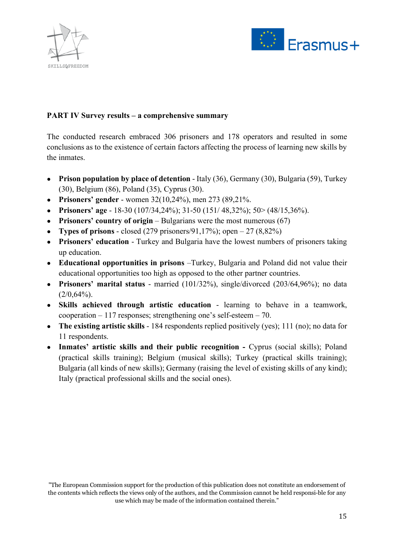



#### **PART IV Survey results – a comprehensive summary**

The conducted research embraced 306 prisoners and 178 operators and resulted in some conclusions as to the existence of certain factors affecting the process of learning new skills by the inmates.

- **Prison population by place of detention** Italy (36), Germany (30), Bulgaria (59), Turkey (30), Belgium (86), Poland (35), Cyprus (30).
- **Prisoners' gender** women 32(10,24%), men 273 (89,21%.
- **Prisoners' age** 18-30 (107/34,24%); 31-50 (151/ 48,32%); 50> (48/15,36%).
- **Prisoners' country of origin** Bulgarians were the most numerous (67)
- **Types of prisons** closed  $(279 \text{ prisoners}/91,17\%)$ ; open  $-27 (8,82\%)$
- **Prisoners' education** Turkey and Bulgaria have the lowest numbers of prisoners taking up education.
- **Educational opportunities in prisons** –Turkey, Bulgaria and Poland did not value their educational opportunities too high as opposed to the other partner countries.
- **Prisoners' marital status** married (101/32%), single/divorced (203/64,96%); no data  $(2/0,64\%)$ .
- **Skills achieved through artistic education** learning to behave in a teamwork, cooperation – 117 responses; strengthening one's self-esteem – 70.
- **The existing artistic skills** 184 respondents replied positively (yes); 111 (no); no data for 11 respondents.
- **Inmates' artistic skills and their public recognition -** Cyprus (social skills); Poland (practical skills training); Belgium (musical skills); Turkey (practical skills training); Bulgaria (all kinds of new skills); Germany (raising the level of existing skills of any kind); Italy (practical professional skills and the social ones).

<sup>&</sup>quot;The European Commission support for the production of this publication does not constitute an endorsement of the contents which reflects the views only of the authors, and the Commission cannot be held responsi-ble for any use which may be made of the information contained therein."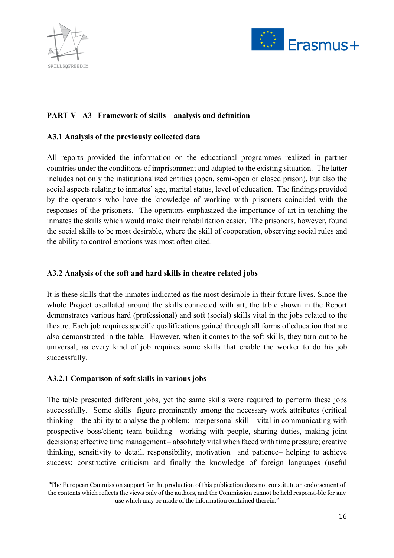



### **PART V A3 Framework of skills – analysis and definition**

#### **A3.1 Analysis of the previously collected data**

All reports provided the information on the educational programmes realized in partner countries under the conditions of imprisonment and adapted to the existing situation. The latter includes not only the institutionalized entities (open, semi-open or closed prison), but also the social aspects relating to inmates' age, marital status, level of education. The findings provided by the operators who have the knowledge of working with prisoners coincided with the responses of the prisoners. The operators emphasized the importance of art in teaching the inmates the skills which would make their rehabilitation easier. The prisoners, however, found the social skills to be most desirable, where the skill of cooperation, observing social rules and the ability to control emotions was most often cited.

#### **A3.2 Analysis of the soft and hard skills in theatre related jobs**

It is these skills that the inmates indicated as the most desirable in their future lives. Since the whole Project oscillated around the skills connected with art, the table shown in the Report demonstrates various hard (professional) and soft (social) skills vital in the jobs related to the theatre. Each job requires specific qualifications gained through all forms of education that are also demonstrated in the table. However, when it comes to the soft skills, they turn out to be universal, as every kind of job requires some skills that enable the worker to do his job successfully.

#### **A3.2.1 Comparison of soft skills in various jobs**

The table presented different jobs, yet the same skills were required to perform these jobs successfully. Some skills figure prominently among the necessary work attributes (critical thinking – the ability to analyse the problem; interpersonal skill – vital in communicating with prospective boss/client; team building –working with people, sharing duties, making joint decisions; effective time management – absolutely vital when faced with time pressure; creative thinking, sensitivity to detail, responsibility, motivation and patience– helping to achieve success; constructive criticism and finally the knowledge of foreign languages (useful

<sup>&</sup>quot;The European Commission support for the production of this publication does not constitute an endorsement of the contents which reflects the views only of the authors, and the Commission cannot be held responsi-ble for any use which may be made of the information contained therein."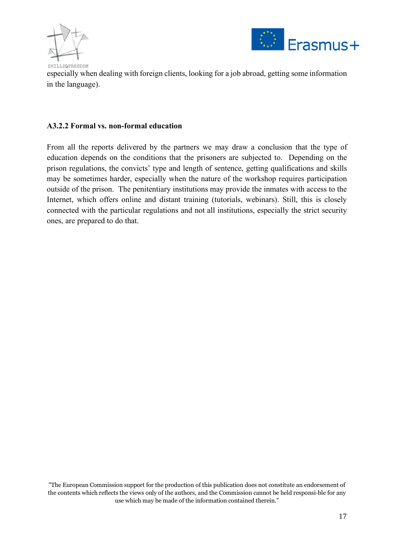



especially when dealing with foreign clients, looking for a job abroad, getting some information in the language).

#### **A3.2.2 Formal vs. non-formal education**

From all the reports delivered by the partners we may draw a conclusion that the type of education depends on the conditions that the prisoners are subjected to. Depending on the prison regulations, the convicts' type and length of sentence, getting qualifications and skills may be sometimes harder, especially when the nature of the workshop requires participation outside of the prison. The penitentiary institutions may provide the inmates with access to the Internet, which offers online and distant training (tutorials, webinars). Still, this is closely connected with the particular regulations and not all institutions, especially the strict security ones, are prepared to do that.

<sup>&</sup>quot;The European Commission support for the production of this publication does not constitute an endorsement of the contents which reflects the views only of the authors, and the Commission cannot be held responsible for any use which may be made of the information contained therein."